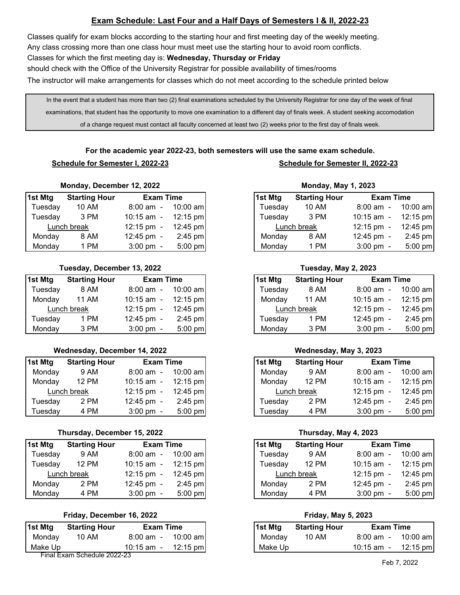# **Exam Schedule: Last Four and a Half Days of Semesters I & II, 2022-23**

Classes qualify for exam blocks according to the starting hour and first meeting day of the weekly meeting. Any class crossing more than one class hour must meet use the starting hour to avoid room conflicts. Classes for which the first meeting day is: **Wednesday, Thursday or Friday** should check with the Office of the University Registrar for possible availability of times/rooms

The instructor will make arrangements for classes which do not meet according to the schedule printed below

In the event that a student has more than two (2) final examinations scheduled by the University Registrar for one day of the week of final examinations, that student has the opportunity to move one examination to a different day of finals week. A student seeking accomodation of a change request must contact all faculty concerned at least two (2) weeks prior to the first day of finals week.

**For the academic year 2022-23, both semesters will use the same exam schedule. Schedule for Semester I, 2022-23 Schedule for Semester II, 2022-23**

# **Monday, December 12, 2022 Monday, May 1, 2023**

| 1st Mtg | <b>Starting Hour</b> | <b>Exam Time</b>      |            | 1st Mtg | <b>Starting Hour</b> | <b>Exam Time</b>     |          |
|---------|----------------------|-----------------------|------------|---------|----------------------|----------------------|----------|
| Tuesday | 10 AM                | $8:00 \text{ am } -$  | $10:00$ am | Tuesday | 10 AM                | $8:00 \text{ am } -$ |          |
| Tuesdav | 3 PM                 | 10:15 am $-$          | 12:15 pm   | Tuesdav | 3 PM                 | $10:15$ am $-$       | 12:15 pm |
|         | Lunch break          | $12:15 \text{ pm } -$ | $12:45$ pm |         | Lunch break          | $12:15 \text{ pm} -$ | 12:45 pm |
| Mondav  | 8 AM                 | $12:45 \text{ pm} -$  | $2:45$ pm  | Mondav  | 8 AM                 | $12:45 \text{ pm} -$ |          |
| Monday  | PM                   | $3:00 \text{ pm} -$   | $5:00$ pm  | Mondav  | 1 PM                 | $3:00 \text{ pm} -$  |          |

## **Tuesday, December 13, 2022 Tuesday, May 2, 2023**

| 1st Mtg | <b>Starting Hour</b> | <b>Exam Time</b>     |            | 1st Mtg |             | <b>Starting Hour</b> | <b>Exam Time</b>        |                 |
|---------|----------------------|----------------------|------------|---------|-------------|----------------------|-------------------------|-----------------|
| Tuesday | 8 AM                 | $8:00 \text{ am } -$ | $10:00$ am | Tuesday |             | 8 AM                 | $8:00 \text{ am } -$    | 10              |
| Monday  | <b>11 AM</b>         | 10:15 am $-$         | $12:15$ pm | Monday  |             | 11 AM                | $10:15$ am $-$          | -12             |
|         | Lunch break          | $12:15 \text{ pm} -$ | $12:45$ pm |         | Lunch break |                      | $12:15 \text{ pm} -$    | 12 <sub>1</sub> |
| Tuesday | 1 PM                 | $12:45 \text{ pm} -$ | $2:45$ pm  | Tuesday |             | 1 PM                 | $12:45 \,\mathrm{pm}$ - | $\overline{2}$  |
| Monday  | 3 PM                 | $3:00 \text{ pm} -$  | $5:00$ pm  | Monday  |             | 3 PM                 | $3:00 \text{ pm} -$     | 5               |

### **Wednesday, December 14, 2022 Wednesday, May 3, 2023**

| 1st Mtg | <b>Starting Hour</b> | <b>Exam Time</b>     |             | 1st Mtg | <b>Starting Hour</b> | <b>Exam Time</b>      |                |
|---------|----------------------|----------------------|-------------|---------|----------------------|-----------------------|----------------|
| Monday  | 9 AM                 | $8:00 \text{ am } -$ | $10:00$ aml | Monday  | 9 AM                 | $8:00 \text{ am } -$  | 10             |
| Monday  | 12 PM                | 10:15 am $-$         | $12:15$ pm  | Monday  | 12 PM                | 10:15 am -            | 12             |
|         | Lunch break          | $12:15 \text{ pm} -$ | 12:45 pm    |         | Lunch break          | $12:15 \text{ pm } -$ | -12            |
| Tuesday | 2 PM                 | $12:45 \text{ pm} -$ | $2:45$ pm   | Tuesdav | 2 PM                 | $12:45 \text{ pm} -$  | $\overline{2}$ |
| Tuesdav | 4 PM                 | $3:00 \text{ pm} -$  | $5:00$ pm   | Tuesdav | 4 PM                 | $3:00 \text{ pm} -$   | -5             |

### **Thursday, December 15, 2022 Thursday, May 4, 2023**

| 1st Mtg | <b>Starting Hour</b> | <b>Exam Time</b>     |            | 1st Mtg |         | <b>Starting Hour</b> | <b>Exam Time</b>     |                 |
|---------|----------------------|----------------------|------------|---------|---------|----------------------|----------------------|-----------------|
| Tuesday | 9 AM                 | $8:00 \text{ am } -$ | $10:00$ am |         | Tuesday | 9 AM                 | $8:00 \text{ am } -$ | 10              |
| Tuesday | 12 PM                | $10:15$ am $-$       | $12:15$ pm |         | Tuesdav | 12 PM                | $10:15$ am $-$       | -12             |
|         | Lunch break          | $12:15 \text{ pm} -$ | $12:45$ pm |         |         | Lunch break          | $12:15 \text{ pm} -$ | 12 <sub>1</sub> |
| Monday  | 2 PM                 | $12:45 \text{ pm} -$ | $2:45$ pm  |         | Monday  | 2 PM                 | $12:45 \text{ pm} -$ | $\overline{2}$  |
| Monday  | 4 PM                 | $3:00 \text{ pm} -$  | $5:00$ pm  |         | Monday  | 4 PM                 | $3:00 \text{ pm} -$  | -5              |

## **Friday, December 16, 2022 Friday, May 5, 2023**

| 1st Mtg | <b>Starting Hour</b>        | <b>Exam Time</b>     |            | 1st Mtg | <b>Starting Hour</b> | <b>Exam Time</b>     |                 |
|---------|-----------------------------|----------------------|------------|---------|----------------------|----------------------|-----------------|
| Monday  | 10 AM                       | $8:00 \text{ am } -$ | 10:00 aml  | Monday  | 10 AM                | $8:00 \text{ am } -$ | 10 <sup>°</sup> |
| Make Up |                             | 10:15 am $-$         | $12:15$ pm | Make Up |                      | $10:15$ am $-$       | 12 <sub>1</sub> |
|         | Final Exam Schedule 2022-23 |                      |            |         |                      |                      |                 |

|         | <b>MONDAY, DECEMBER 12, ZUZZ</b> |                      |             | <b>MONDAY, MAY 1, ZUZJ</b> |                      |                       |            |  |  |  |
|---------|----------------------------------|----------------------|-------------|----------------------------|----------------------|-----------------------|------------|--|--|--|
| st Mtg  | <b>Starting Hour</b>             | <b>Exam Time</b>     |             | 1st Mtg                    | <b>Starting Hour</b> | <b>Exam Time</b>      |            |  |  |  |
| Tuesday | 10 AM                            | $8:00 \text{ am } -$ | $10:00$ aml | Tuesday                    | 10 AM                | $8:00 \text{ am } -$  | $10:00$ am |  |  |  |
| Tuesday | 3 PM                             | 10:15 am $-$         | $12:15$ pm  | Tuesdav                    | 3 PM                 | $10:15$ am $-$        | 12:15 pm   |  |  |  |
|         | Lunch break                      | $12:15 \text{ pm} -$ | $12:45$ pm  |                            | Lunch break          | $12:15 \text{ pm } -$ | 12:45 pm   |  |  |  |
| Monday  | 8 AM                             | 12:45 pm -           | $2:45$ pm   | Mondav                     | 8 AM                 | $12:45 \text{ pm} -$  | $2:45$ pm  |  |  |  |
| Monday  | 1 PM                             | $3:00 \text{ pm} -$  | $5:00$ pm   | Monday                     | 1 PM                 | $3:00 \text{ pm} -$   | $5:00$ pm  |  |  |  |

| st Mtg  | <b>Starting Hour</b> | <b>Exam Time</b>     |             |
|---------|----------------------|----------------------|-------------|
| Tuesday | 8 AM                 | $8:00 \text{ am } -$ | $10:00$ aml |
| Monday  | 11 AM                | $10:15$ am $-$       | $12:15$ pm  |
|         | Lunch break          | $12:15 \text{ pm} -$ | $12:45$ pm  |
| Tuesday | 1 PM                 | $12:45 \text{ pm} -$ | $2:45$ pm   |
| Monday  | 3 PM                 | $3:00 \text{ pm} -$  | $5:00$ pm   |

| st Mtg  | <b>Starting Hour</b> | <b>Exam Time</b>      |            | 1st Mtg | <b>Starting Hour</b> | <b>Exam Time</b>                    |             |
|---------|----------------------|-----------------------|------------|---------|----------------------|-------------------------------------|-------------|
| Monday  | 9 AM                 | $8:00 \text{ am } -$  | $10:00$ am | Monday  | 9 AM                 | $8:00 \text{ am}$<br>$\overline{a}$ | $10:00$ aml |
| Monday  | 12 PM                | $10:15$ am $-$        | $12:15$ pm | Mondav  | 12 PM                | $10:15$ am $-$                      | $12:15$ pm  |
|         | Lunch break          | $12:15 \text{ pm } -$ | $12:45$ pm |         | Lunch break          | $12:15 \text{ pm } -$               | 12:45 pm    |
| Tuesday | 2 PM                 | $12:45 \text{ pm} -$  | $2:45$ pm  | Tuesdav | 2 PM                 | $12:45 \text{ pm} -$                | $2:45$ pm   |
| Tuesdav | 4 PM                 | $3:00 \text{ pm} -$   | $5:00$ pm  | Tuesday | 4 PM                 | $3:00 \text{ pm} -$                 | $5:00$ pm   |

| st Mtg  | <b>Starting Hour</b> | <b>Exam Time</b>      |            | 1st Mtg | <b>Starting Hour</b> | <b>Exam Time</b>     |            |
|---------|----------------------|-----------------------|------------|---------|----------------------|----------------------|------------|
| Tuesday | 9 AM                 | 8:00 am -             | $10:00$ am | Tuesdav | 9 AM                 | $8:00$ am $-$        | $10:00$ am |
| Tuesday | 12 PM                | $10:15$ am $-$        | $12:15$ pm | Tuesdav | 12 PM                | 10:15 am -           | $12:15$ pm |
|         | Lunch break          | $12:15 \text{ pm} -$  | $12:45$ pm |         | Lunch break          | $12:15 \text{ pm} -$ | 12:45 pm   |
| Monday  | 2 PM                 | $12:45 \,\mathrm{pm}$ | $2:45$ pm  | Mondav  | 2 PM                 | $12:45 \text{ pm} -$ | $2:45$ pm  |
| Monday  | 4 PM                 | $3:00 \text{ pm} -$   | $5:00$ pm  | Mondav  | 4 PM                 | $3:00 \text{ pm} -$  | $5:00$ pm  |

| st Mtg  | <b>Starting Hour</b> | Exam Time            |                    | 1st Mtg | <b>Starting Hour</b> | <b>Exam Time</b>  |            |
|---------|----------------------|----------------------|--------------------|---------|----------------------|-------------------|------------|
| Monday  | 10 AM                | $8:00 \text{ am } -$ | $10:00$ aml        | Monday  | 10 AM                | $8:00 \text{ am}$ | 10:00 am l |
| Make Up |                      | $10:15$ am $-$       | $12:15 \text{ pm}$ | Make Up |                      | 10:15 $\text{am}$ | $12:15$ pm |
|         |                      |                      |                    |         |                      |                   |            |